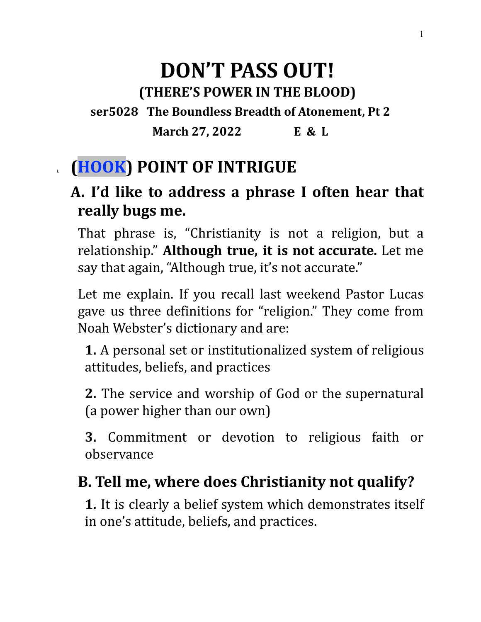### **DON'T PASS OUT! (THERE'S POWER IN THE BLOOD) ser5028 The Boundless Breadth of Atonement, Pt 2**

**March 27, 2022 E & L**

## **I. (HOOK) POINT OF INTRIGUE**

### **A. I'd like to address a phrase I often hear that really bugs me.**

That phrase is, "Christianity is not a religion, but a relationship." **Although true, it is not accurate.** Let me say that again, "Although true, it's not accurate."

Let me explain. If you recall last weekend Pastor Lucas gave us three definitions for "religion." They come from Noah Webster's dictionary and are:

**1.** A personal set or institutionalized system of religious attitudes, beliefs, and practices

**2.** The service and worship of God or the supernatural (a power higher than our own)

**3.** Commitment or devotion to religious faith or observance

### **B. Tell me, where does Christianity not qualify?**

**1.** It is clearly a belief system which demonstrates itself in one's attitude, beliefs, and practices.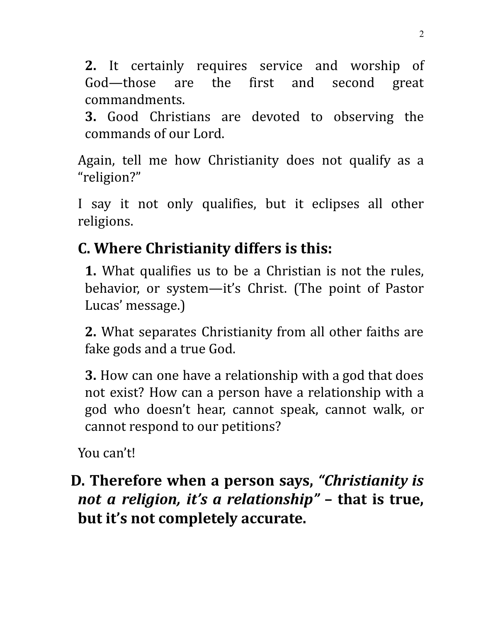**2.** It certainly requires service and worship of God—those are the first and second great commandments.

**3.** Good Christians are devoted to observing the commands of our Lord.

Again, tell me how Christianity does not qualify as a "religion?"

I say it not only qualifies, but it eclipses all other religions.

### **C. Where Christianity differs is this:**

**1.** What qualifies us to be a Christian is not the rules, behavior, or system—it's Christ. (The point of Pastor Lucas' message.)

**2.** What separates Christianity from all other faiths are fake gods and a true God.

**3.** How can one have a relationship with a god that does not exist? How can a person have a relationship with a god who doesn't hear, cannot speak, cannot walk, or cannot respond to our petitions?

You can't!

### **D. Therefore when a person says,** *"Christianity is not a religion, it's a relationship"* **– that is true, but it's not completely accurate.**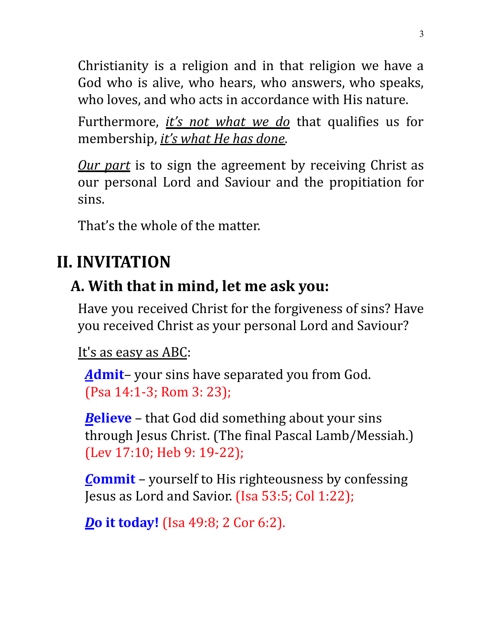Christianity is a religion and in that religion we have a God who is alive, who hears, who answers, who speaks, who loves, and who acts in accordance with His nature.

Furthermore, *it's not what we do* that qualifies us for membership, *it's what He has done*.

*Our part* is to sign the agreement by receiving Christ as our personal Lord and Saviour and the propitiation for sins.

That's the whole of the matter.

# **II. INVITATION**

### **A. With that in mind, let me ask you:**

Have you received Christ for the forgiveness of sins? Have you received Christ as your personal Lord and Saviour?

#### It's as easy as ABC:

*A***dmit**– your sins have separated you from God. (Psa 14:1-3; Rom 3: 23);

*B***elieve** – that God did something about your sins through Jesus Christ. (The final Pascal Lamb/Messiah.) (Lev 17:10; Heb 9: 19-22);

*C***ommit** – yourself to His righteousness by confessing Jesus as Lord and Savior. (Isa 53:5; Col 1:22);

*D***o it today!** (Isa 49:8; 2 Cor 6:2).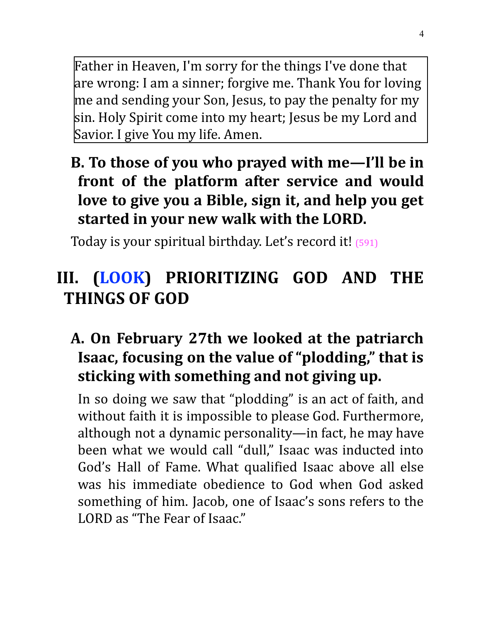Father in Heaven, I'm sorry for the things I've done that are wrong: I am a sinner; forgive me. Thank You for loving me and sending your Son, Jesus, to pay the penalty for my sin. Holy Spirit come into my heart; Jesus be my Lord and Savior. I give You my life. Amen.

### **B. To those of you who prayed with me—I'll be in front of the platform after service and would love to give you a Bible, sign it, and help you get started in your new walk with the LORD.**

Today is your spiritual birthday. Let's record it! (591)

### **III. (LOOK) PRIORITIZING GOD AND THE THINGS OF GOD**

#### **A. On February 27th we looked at the patriarch Isaac, focusing on the value of "plodding, " that is sticking with something and not giving up.**

In so doing we saw that "plodding" is an act of faith, and without faith it is impossible to please God. Furthermore, although not a dynamic personality—in fact, he may have been what we would call "dull," Isaac was inducted into God's Hall of Fame. What qualified Isaac above all else was his immediate obedience to God when God asked something of him. Jacob, one of Isaac's sons refers to the LORD as "The Fear of Isaac."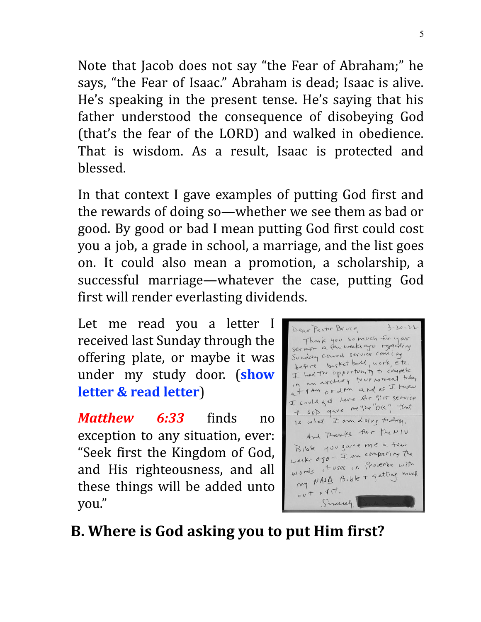Note that Jacob does not say "the Fear of Abraham;" he says, "the Fear of Isaac." Abraham is dead; Isaac is alive. He's speaking in the present tense. He's saying that his father understood the consequence of disobeying God (that's the fear of the LORD) and walked in obedience. That is wisdom. As a result, Isaac is protected and blessed.

In that context I gave examples of putting God first and the rewards of doing so—whether we see them as bad or good. By good or bad I mean putting God first could cost you a job, a grade in school, a marriage, and the list goes on. It could also mean a promotion, a scholarship, a successful marriage—whatever the case, putting God first will render everlasting dividends.

Let me read you a letter I received last Sunday through the offering plate, or maybe it was under my study door. (**show letter & read letter**)

*Matthew 6:33* finds no exception to any situation, ever: "Seek first the Kingdom of God, and His righteousness, and all these things will be added unto you."

 $3 - 20 - 22$ Dear Pastor Bruce, Thank you so much for your Sunday Church service coming before busket bold, work etc. before bustic and the compete I had the opportunity<br>In an avelicity to ur nament today at 9 Am orden and as I knew I could get here for 9:15 service I could get here in the "OK" that Is what I am doing to day. And Thanks for the NIU Bible you gave me a few  $B_1$ ble 400 gas<br>weeks  $0.50 - I$  on comparing the weeks ago - + on<br>words these in Proverbe with ords it uses in modeling much  $\frac{1}{2}$ <br> $0 + 0 + 1$ Screenely

### **B. Where is God asking you to put Him first?**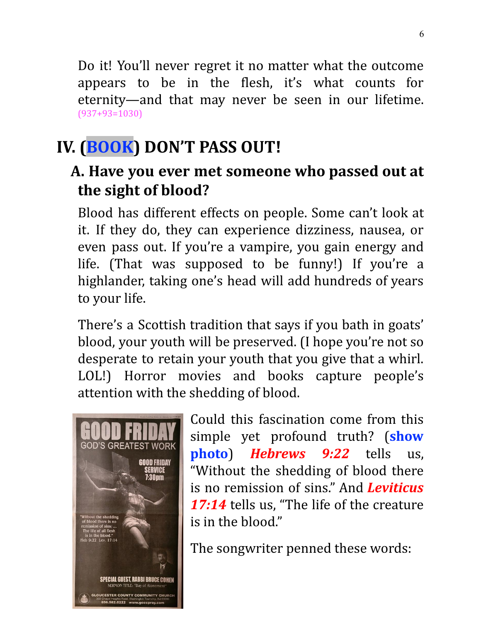Do it! You'll never regret it no matter what the outcome appears to be in the flesh, it's what counts for eternity—and that may never be seen in our lifetime. (937+93=1030)

# **IV. (BOOK) DON'T PASS OUT!**

#### **A. Have you ever met someone who passed out at the sight of blood?**

Blood has different effects on people. Some can't look at it. If they do, they can experience dizziness, nausea, or even pass out. If you're a vampire, you gain energy and life. (That was supposed to be funny!) If you're a highlander, taking one's head will add hundreds of years to your life.

There's a Scottish tradition that says if you bath in goats' blood, your youth will be preserved. (I hope you're not so desperate to retain your youth that you give that a whirl. LOL!) Horror movies and books capture people's attention with the shedding of blood.



Could this fascination come from this simple yet profound truth? (**show photo**) *Hebrews 9:22* tells us, "Without the shedding of blood there is no remission of sins." And *Leviticus* 17:14 tells us. "The life of the creature is in the blood."

The songwriter penned these words: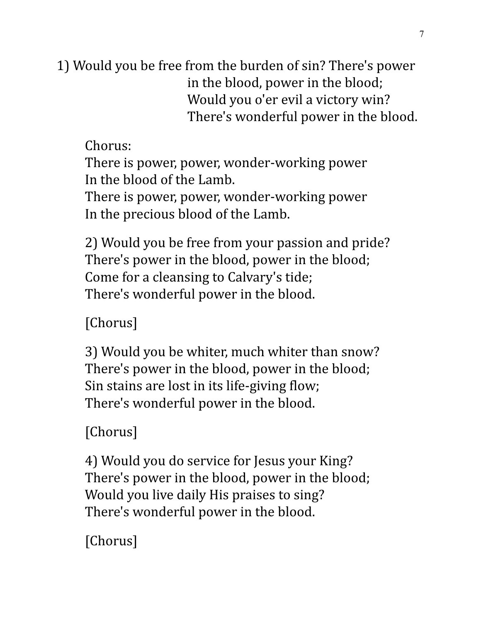1) Would you be free from the burden of sin? There's power in the blood, power in the blood; Would you o'er evil a victory win? There's wonderful power in the blood.

Chorus:

There is power, power, wonder-working power In the blood of the Lamb.

There is power, power, wonder-working power In the precious blood of the Lamb.

2) Would you be free from your passion and pride? There's power in the blood, power in the blood; Come for a cleansing to Calvary's tide; There's wonderful power in the blood.

[Chorus]

3) Would you be whiter, much whiter than snow? There's power in the blood, power in the blood; Sin stains are lost in its life-giving flow; There's wonderful power in the blood.

[Chorus]

4) Would you do service for Jesus your King? There's power in the blood, power in the blood; Would you live daily His praises to sing? There's wonderful power in the blood.

[Chorus]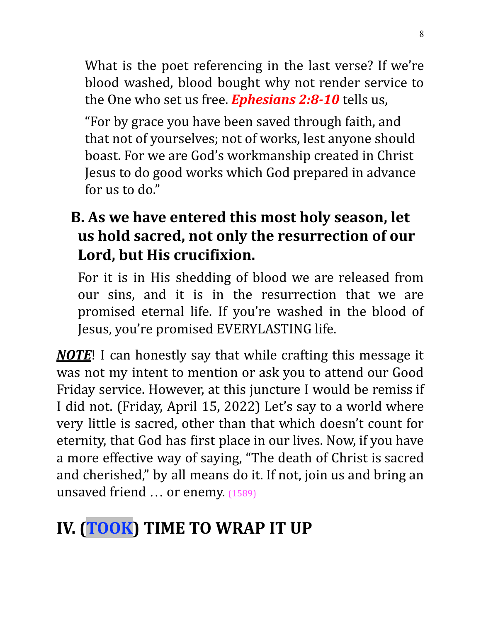What is the poet referencing in the last verse? If we're blood washed, blood bought why not render service to the One who set us free. *Ephesians 2:8-10* tells us,

"For by grace you have been saved through faith, and that not of yourselves; not of works, lest anyone should boast. For we are God's workmanship created in Christ Jesus to do good works which God prepared in advance for us to do."

**B. As we have entered this most holy season, let us hold sacred, not only the resurrection of our Lord, but His crucifixion.**

For it is in His shedding of blood we are released from our sins, and it is in the resurrection that we are promised eternal life. If you're washed in the blood of Jesus, you're promised EVERYLASTING life.

*NOTE*! I can honestly say that while crafting this message it was not my intent to mention or ask you to attend our Good Friday service. However, at this juncture I would be remiss if I did not. (Friday, April 15, 2022) Let's say to a world where very little is sacred, other than that which doesn't count for eternity, that God has first place in our lives. Now, if you have a more effective way of saying, "The death of Christ is sacred and cherished," by all means do it. If not, join us and bring an unsaved friend … or enemy. (1589)

# **IV. (TOOK) TIME TO WRAP IT UP**